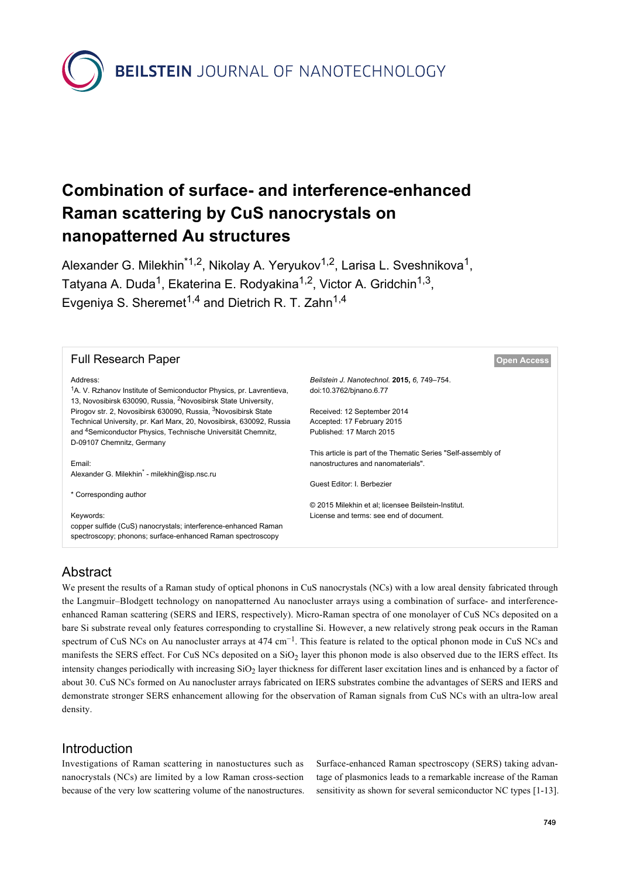**BEILSTEIN JOURNAL OF NANOTECHNOLOGY** 

# **Combination of surface- and interference-enhanced Raman scattering by CuS nanocrystals on nanopatterned Au structures**

Alexander G. Milekhin<sup>\*1,2</sup>, Nikolay A. Yeryukov<sup>1,2</sup>, Larisa L. Sveshnikova<sup>1</sup>, Tatyana A. Duda<sup>1</sup>, Ekaterina E. Rodyakina<sup>1,2</sup>, Victor A. Gridchin<sup>1,3</sup>, Evgeniya S. Sheremet<sup>1,4</sup> and Dietrich R. T. Zahn<sup>1,4</sup>



## Abstract

We present the results of a Raman study of optical phonons in CuS nanocrystals (NCs) with a low areal density fabricated through the Langmuir–Blodgett technology on nanopatterned Au nanocluster arrays using a combination of surface- and interferenceenhanced Raman scattering (SERS and IERS, respectively). Micro-Raman spectra of one monolayer of CuS NCs deposited on a bare Si substrate reveal only features corresponding to crystalline Si. However, a new relatively strong peak occurs in the Raman spectrum of CuS NCs on Au nanocluster arrays at 474 cm<sup>-1</sup>. This feature is related to the optical phonon mode in CuS NCs and manifests the SERS effect. For CuS NCs deposited on a  $SiO<sub>2</sub>$  layer this phonon mode is also observed due to the IERS effect. Its intensity changes periodically with increasing  $SiO<sub>2</sub>$  layer thickness for different laser excitation lines and is enhanced by a factor of about 30. CuS NCs formed on Au nanocluster arrays fabricated on IERS substrates combine the advantages of SERS and IERS and demonstrate stronger SERS enhancement allowing for the observation of Raman signals from CuS NCs with an ultra-low areal density.

## Introduction

Investigations of Raman scattering in nanostuctures such as nanocrystals (NCs) are limited by a low Raman cross-section because of the very low scattering volume of the nanostructures. Surface-enhanced Raman spectroscopy (SERS) taking advantage of plasmonics leads to a remarkable increase of the Raman sensitivity as shown for several semiconductor NC types [\[1-13\]](#page-5-0).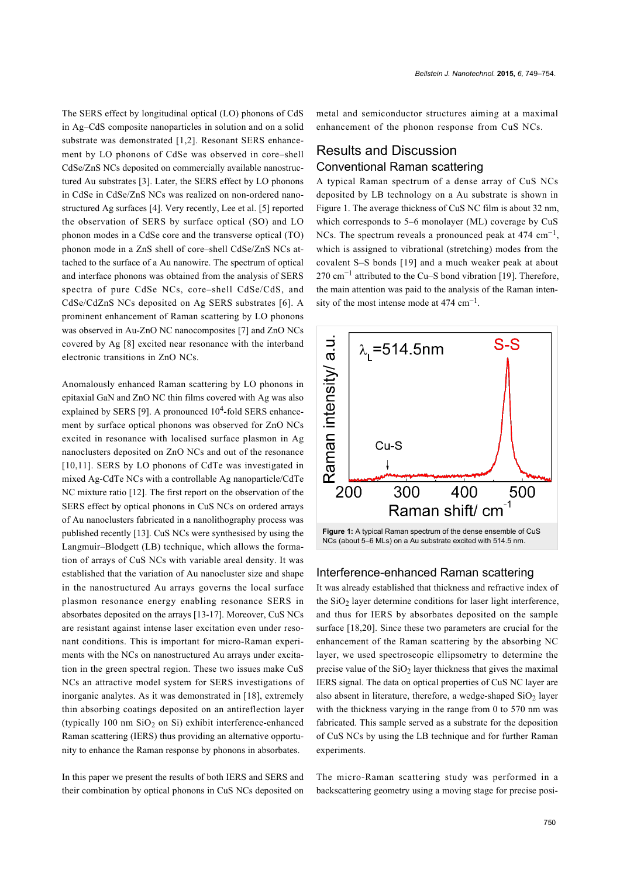The SERS effect by longitudinal optical (LO) phonons of CdS in Ag–CdS composite nanoparticles in solution and on a solid substrate was demonstrated [\[1,2\]](#page-5-0). Resonant SERS enhancement by LO phonons of CdSe was observed in core–shell CdSe/ZnS NCs deposited on commercially available nanostructured Au substrates [\[3\].](#page-5-1) Later, the SERS effect by LO phonons in CdSe in CdSe/ZnS NCs was realized on non-ordered nanostructured Ag surfaces [\[4\].](#page-5-2) Very recently, Lee et al. [\[5\]](#page-5-3) reported the observation of SERS by surface optical (SO) and LO phonon modes in a CdSe core and the transverse optical (TO) phonon mode in a ZnS shell of core–shell CdSe/ZnS NCs attached to the surface of a Au nanowire. The spectrum of optical and interface phonons was obtained from the analysis of SERS spectra of pure CdSe NCs, core–shell CdSe/CdS, and CdSe/CdZnS NCs deposited on Ag SERS substrates [\[6\]](#page-5-4). A prominent enhancement of Raman scattering by LO phonons was observed in Au-ZnO NC nanocomposites [\[7\]](#page-5-5) and ZnO NCs covered by Ag [\[8\]](#page-5-6) excited near resonance with the interband electronic transitions in ZnO NCs.

Anomalously enhanced Raman scattering by LO phonons in epitaxial GaN and ZnO NC thin films covered with Ag was also explained by SERS [\[9\]](#page-5-7). A pronounced  $10^4$ -fold SERS enhancement by surface optical phonons was observed for ZnO NCs excited in resonance with localised surface plasmon in Ag nanoclusters deposited on ZnO NCs and out of the resonance [\[10,11\]](#page-5-8). SERS by LO phonons of CdTe was investigated in mixed Ag-CdTe NCs with a controllable Ag nanoparticle/CdTe NC mixture ratio [\[12\].](#page-5-9) The first report on the observation of the SERS effect by optical phonons in CuS NCs on ordered arrays of Au nanoclusters fabricated in a nanolithography process was published recently [\[13\]](#page-5-10). CuS NCs were synthesised by using the Langmuir–Blodgett (LB) technique, which allows the formation of arrays of CuS NCs with variable areal density. It was established that the variation of Au nanocluster size and shape in the nanostructured Au arrays governs the local surface plasmon resonance energy enabling resonance SERS in absorbates deposited on the arrays [\[13-17\].](#page-5-10) Moreover, CuS NCs are resistant against intense laser excitation even under resonant conditions. This is important for micro-Raman experiments with the NCs on nanostructured Au arrays under excitation in the green spectral region. These two issues make CuS NCs an attractive model system for SERS investigations of inorganic analytes. As it was demonstrated in [\[18\]](#page-5-11), extremely thin absorbing coatings deposited on an antireflection layer (typically 100 nm  $SiO<sub>2</sub>$  on Si) exhibit interference-enhanced Raman scattering (IERS) thus providing an alternative opportunity to enhance the Raman response by phonons in absorbates.

In this paper we present the results of both IERS and SERS and their combination by optical phonons in CuS NCs deposited on metal and semiconductor structures aiming at a maximal enhancement of the phonon response from CuS NCs.

## Results and Discussion Conventional Raman scattering

A typical Raman spectrum of a dense array of CuS NCs deposited by LB technology on a Au substrate is shown in [Figure 1.](#page-1-0) The average thickness of CuS NC film is about 32 nm, which corresponds to 5–6 monolayer (ML) coverage by CuS NCs. The spectrum reveals a pronounced peak at  $474 \text{ cm}^{-1}$ , which is assigned to vibrational (stretching) modes from the covalent S–S bonds [\[19\]](#page-5-12) and a much weaker peak at about 270 cm<sup>-1</sup> attributed to the Cu–S bond vibration [\[19\].](#page-5-12) Therefore, the main attention was paid to the analysis of the Raman intensity of the most intense mode at  $474 \text{ cm}^{-1}$ .

<span id="page-1-0"></span>

#### Interference-enhanced Raman scattering

It was already established that thickness and refractive index of the  $SiO<sub>2</sub>$  layer determine conditions for laser light interference, and thus for IERS by absorbates deposited on the sample surface [\[18,20\].](#page-5-11) Since these two parameters are crucial for the enhancement of the Raman scattering by the absorbing NC layer, we used spectroscopic ellipsometry to determine the precise value of the  $SiO<sub>2</sub>$  layer thickness that gives the maximal IERS signal. The data on optical properties of CuS NC layer are also absent in literature, therefore, a wedge-shaped  $SiO<sub>2</sub>$  layer with the thickness varying in the range from 0 to 570 nm was fabricated. This sample served as a substrate for the deposition of CuS NCs by using the LB technique and for further Raman experiments.

The micro-Raman scattering study was performed in a backscattering geometry using a moving stage for precise posi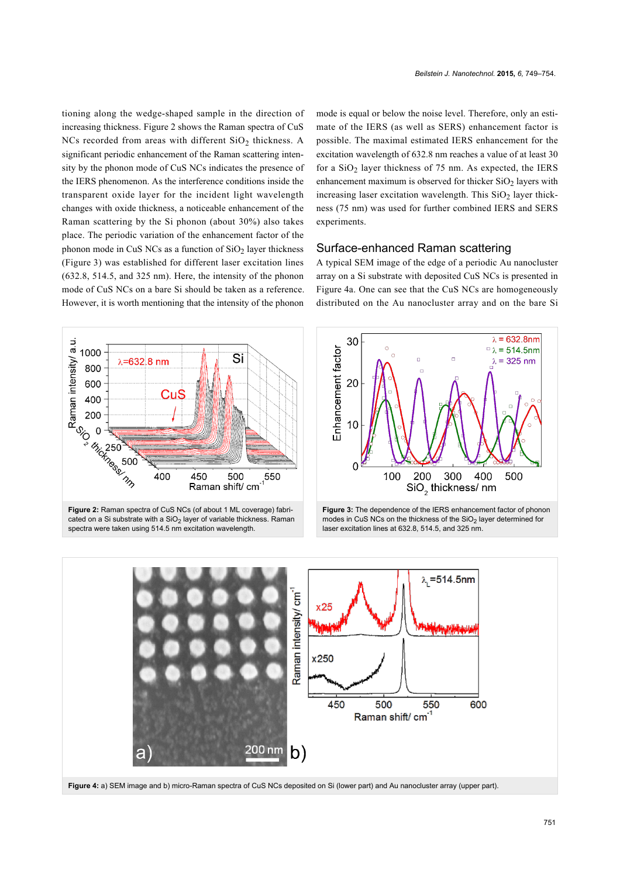tioning along the wedge-shaped sample in the direction of increasing thickness. [Figure 2](#page-2-0) shows the Raman spectra of CuS NCs recorded from areas with different  $SiO<sub>2</sub>$  thickness. A significant periodic enhancement of the Raman scattering intensity by the phonon mode of CuS NCs indicates the presence of the IERS phenomenon. As the interference conditions inside the transparent oxide layer for the incident light wavelength changes with oxide thickness, a noticeable enhancement of the Raman scattering by the Si phonon (about 30%) also takes place. The periodic variation of the enhancement factor of the phonon mode in CuS NCs as a function of  $SiO<sub>2</sub>$  layer thickness ([Figure 3](#page-2-1)) was established for different laser excitation lines (632.8, 514.5, and 325 nm). Here, the intensity of the phonon mode of CuS NCs on a bare Si should be taken as a reference. However, it is worth mentioning that the intensity of the phonon

<span id="page-2-0"></span>

mate of the IERS (as well as SERS) enhancement factor is possible. The maximal estimated IERS enhancement for the excitation wavelength of 632.8 nm reaches a value of at least 30 for a  $SiO<sub>2</sub>$  layer thickness of 75 nm. As expected, the IERS enhancement maximum is observed for thicker  $SiO<sub>2</sub>$  layers with increasing laser excitation wavelength. This  $SiO<sub>2</sub>$  layer thickness (75 nm) was used for further combined IERS and SERS experiments.

mode is equal or below the noise level. Therefore, only an esti-

#### Surface-enhanced Raman scattering

A typical SEM image of the edge of a periodic Au nanocluster array on a Si substrate with deposited CuS NCs is presented in [Figure 4a](#page-2-2). One can see that the CuS NCs are homogeneously distributed on the Au nanocluster array and on the bare Si

<span id="page-2-1"></span>

**Figure 3:** The dependence of the IERS enhancement factor of phonon modes in CuS NCs on the thickness of the  $SiO<sub>2</sub>$  layer determined for laser excitation lines at 632.8, 514.5, and 325 nm.

<span id="page-2-2"></span>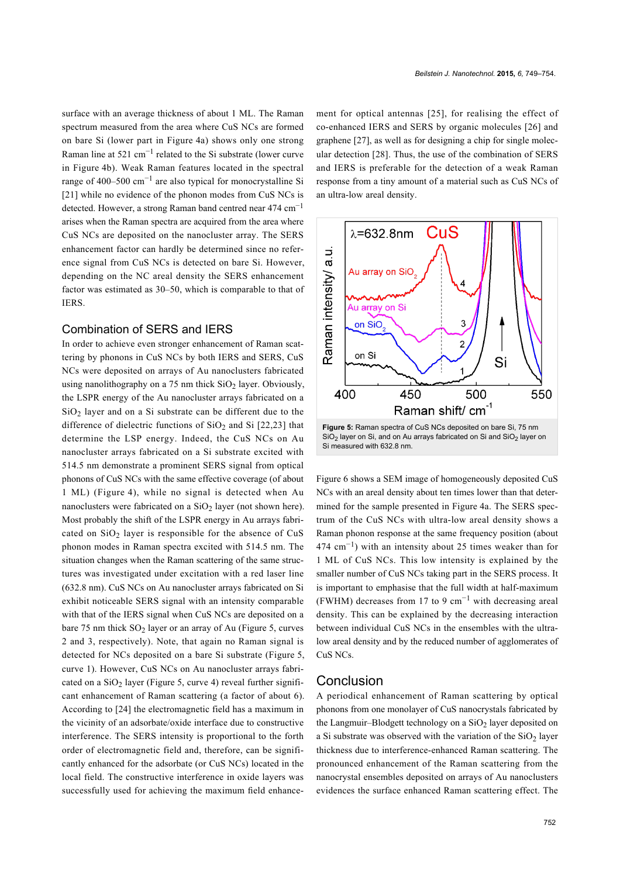surface with an average thickness of about 1 ML. The Raman spectrum measured from the area where CuS NCs are formed on bare Si (lower part in [Figure 4a\)](#page-2-2) shows only one strong Raman line at  $521 \text{ cm}^{-1}$  related to the Si substrate (lower curve in [Figure 4b](#page-2-2)). Weak Raman features located in the spectral range of 400–500 cm−<sup>1</sup> are also typical for monocrystalline Si [\[21\]](#page-5-13) while no evidence of the phonon modes from CuS NCs is detected. However, a strong Raman band centred near 474 cm−<sup>1</sup> arises when the Raman spectra are acquired from the area where CuS NCs are deposited on the nanocluster array. The SERS enhancement factor can hardly be determined since no reference signal from CuS NCs is detected on bare Si. However, depending on the NC areal density the SERS enhancement factor was estimated as 30–50, which is comparable to that of IERS.

#### Combination of SERS and IERS

In order to achieve even stronger enhancement of Raman scattering by phonons in CuS NCs by both IERS and SERS, CuS NCs were deposited on arrays of Au nanoclusters fabricated using nanolithography on a 75 nm thick  $SiO<sub>2</sub>$  layer. Obviously, the LSPR energy of the Au nanocluster arrays fabricated on a  $SiO<sub>2</sub>$  layer and on a Si substrate can be different due to the difference of dielectric functions of  $SiO<sub>2</sub>$  and  $Si[22,23]$  $Si[22,23]$  that determine the LSP energy. Indeed, the CuS NCs on Au nanocluster arrays fabricated on a Si substrate excited with 514.5 nm demonstrate a prominent SERS signal from optical phonons of CuS NCs with the same effective coverage (of about 1 ML) ([Figure 4](#page-2-2)), while no signal is detected when Au nanoclusters were fabricated on a  $SiO<sub>2</sub>$  layer (not shown here). Most probably the shift of the LSPR energy in Au arrays fabricated on  $SiO<sub>2</sub>$  layer is responsible for the absence of CuS phonon modes in Raman spectra excited with 514.5 nm. The situation changes when the Raman scattering of the same structures was investigated under excitation with a red laser line (632.8 nm). CuS NCs on Au nanocluster arrays fabricated on Si exhibit noticeable SERS signal with an intensity comparable with that of the IERS signal when CuS NCs are deposited on a bare 75 nm thick  $SO_2$  layer or an array of Au ([Figure 5,](#page-3-0) curves 2 and 3, respectively). Note, that again no Raman signal is detected for NCs deposited on a bare Si substrate ([Figure 5](#page-3-0), curve 1). However, CuS NCs on Au nanocluster arrays fabricated on a  $SiO<sub>2</sub>$  layer ([Figure 5,](#page-3-0) curve 4) reveal further significant enhancement of Raman scattering (a factor of about 6). According to [\[24\]](#page-5-15) the electromagnetic field has a maximum in the vicinity of an adsorbate/oxide interface due to constructive interference. The SERS intensity is proportional to the forth order of electromagnetic field and, therefore, can be significantly enhanced for the adsorbate (or CuS NCs) located in the local field. The constructive interference in oxide layers was successfully used for achieving the maximum field enhancement for optical antennas [\[25\]](#page-5-16), for realising the effect of co-enhanced IERS and SERS by organic molecules [\[26\]](#page-5-17) and graphene [\[27\],](#page-5-18) as well as for designing a chip for single molecular detection [\[28\].](#page-5-19) Thus, the use of the combination of SERS and IERS is preferable for the detection of a weak Raman response from a tiny amount of a material such as CuS NCs of an ultra-low areal density.

*Beilstein J. Nanotechnol.* **2015,** *6,* 749–754.

<span id="page-3-0"></span>

 $SiO<sub>2</sub>$  layer on Si, and on Au arrays fabricated on Si and  $SiO<sub>2</sub>$  layer on Si measured with 632.8 nm.

[Figure 6](#page-4-0) shows a SEM image of homogeneously deposited CuS NCs with an areal density about ten times lower than that determined for the sample presented in [Figure 4a](#page-2-2). The SERS spectrum of the CuS NCs with ultra-low areal density shows a Raman phonon response at the same frequency position (about 474 cm−<sup>1</sup> ) with an intensity about 25 times weaker than for 1 ML of CuS NCs. This low intensity is explained by the smaller number of CuS NCs taking part in the SERS process. It is important to emphasise that the full width at half-maximum (FWHM) decreases from 17 to 9 cm<sup>-1</sup> with decreasing areal density. This can be explained by the decreasing interaction between individual CuS NCs in the ensembles with the ultralow areal density and by the reduced number of agglomerates of CuS NCs.

### Conclusion

A periodical enhancement of Raman scattering by optical phonons from one monolayer of CuS nanocrystals fabricated by the Langmuir–Blodgett technology on a  $SiO<sub>2</sub>$  layer deposited on a Si substrate was observed with the variation of the  $SiO<sub>2</sub>$  layer thickness due to interference-enhanced Raman scattering. The pronounced enhancement of the Raman scattering from the nanocrystal ensembles deposited on arrays of Au nanoclusters evidences the surface enhanced Raman scattering effect. The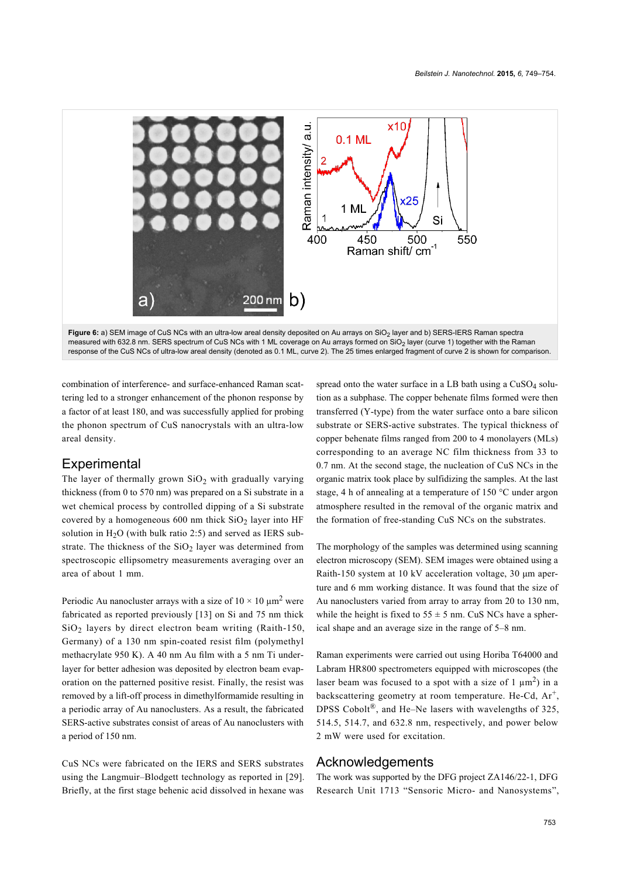<span id="page-4-0"></span>

combination of interference- and surface-enhanced Raman scattering led to a stronger enhancement of the phonon response by a factor of at least 180, and was successfully applied for probing the phonon spectrum of CuS nanocrystals with an ultra-low areal density.

## **Experimental**

The layer of thermally grown  $SiO<sub>2</sub>$  with gradually varying thickness (from 0 to 570 nm) was prepared on a Si substrate in a wet chemical process by controlled dipping of a Si substrate covered by a homogeneous  $600$  nm thick  $SiO<sub>2</sub>$  layer into HF solution in  $H<sub>2</sub>O$  (with bulk ratio 2:5) and served as IERS substrate. The thickness of the  $SiO<sub>2</sub>$  layer was determined from spectroscopic ellipsometry measurements averaging over an area of about 1 mm.

Periodic Au nanocluster arrays with a size of  $10 \times 10 \mu m^2$  were fabricated as reported previously [\[13\]](#page-5-10) on Si and 75 nm thick  $SiO<sub>2</sub>$  layers by direct electron beam writing (Raith-150, Germany) of a 130 nm spin-coated resist film (polymethyl methacrylate 950 K). A 40 nm Au film with a 5 nm Ti underlayer for better adhesion was deposited by electron beam evaporation on the patterned positive resist. Finally, the resist was removed by a lift-off process in dimethylformamide resulting in a periodic array of Au nanoclusters. As a result, the fabricated SERS-active substrates consist of areas of Au nanoclusters with a period of 150 nm.

CuS NCs were fabricated on the IERS and SERS substrates using the Langmuir–Blodgett technology as reported in [\[29\]](#page-5-20). Briefly, at the first stage behenic acid dissolved in hexane was spread onto the water surface in a LB bath using a  $CuSO<sub>4</sub>$  solution as a subphase. The copper behenate films formed were then transferred (Y-type) from the water surface onto a bare silicon substrate or SERS-active substrates. The typical thickness of copper behenate films ranged from 200 to 4 monolayers (MLs) corresponding to an average NC film thickness from 33 to 0.7 nm. At the second stage, the nucleation of CuS NCs in the organic matrix took place by sulfidizing the samples. At the last stage, 4 h of annealing at a temperature of 150 °C under argon atmosphere resulted in the removal of the organic matrix and the formation of free-standing CuS NCs on the substrates.

The morphology of the samples was determined using scanning electron microscopy (SEM). SEM images were obtained using a Raith-150 system at 10 kV acceleration voltage, 30 μm aperture and 6 mm working distance. It was found that the size of Au nanoclusters varied from array to array from 20 to 130 nm, while the height is fixed to  $55 \pm 5$  nm. CuS NCs have a spherical shape and an average size in the range of 5–8 nm.

Raman experiments were carried out using Horiba T64000 and Labram HR800 spectrometers equipped with microscopes (the laser beam was focused to a spot with a size of  $1 \mu m^2$ ) in a backscattering geometry at room temperature. He-Cd, Ar<sup>+</sup>, DPSS Cobolt<sup>®</sup>, and He–Ne lasers with wavelengths of 325, 514.5, 514.7, and 632.8 nm, respectively, and power below 2 mW were used for excitation.

#### Acknowledgements

The work was supported by the DFG project ZA146/22-1, DFG Research Unit 1713 "Sensoric Micro- and Nanosystems",